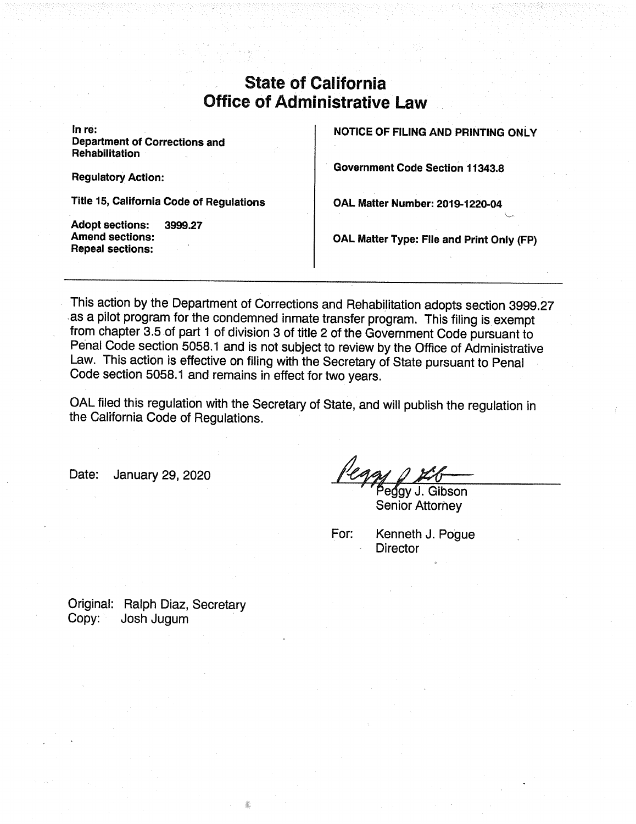## **State of California Office of Administrative Law**

In re: **Department of Corrections and Rehabilitation** 

**Regulatory Action:** 

Title 15, California Code of Regulations

**Adopt sections:** 3999.27 **Amend sections: Repeal sections:** 

**NOTICE OF FILING AND PRINTING ONLY** 

**Government Code Section 11343.8** 

OAL Matter Number: 2019-1220-04

OAL Matter Type: File and Print Only (FP)

This action by the Department of Corrections and Rehabilitation adopts section 3999.27 as a pilot program for the condemned inmate transfer program. This filing is exempt from chapter 3.5 of part 1 of division 3 of title 2 of the Government Code pursuant to Penal Code section 5058.1 and is not subject to review by the Office of Administrative Law. This action is effective on filing with the Secretary of State pursuant to Penal Code section 5058.1 and remains in effect for two years.

OAL filed this regulation with the Secretary of State, and will publish the regulation in the California Code of Regulations.

January 29, 2020 Date:

egav J. Gibson **Senior Attorney** 

For:

Kenneth J. Poque **Director** 

Original: Ralph Diaz, Secretary Copy: Josh Jugum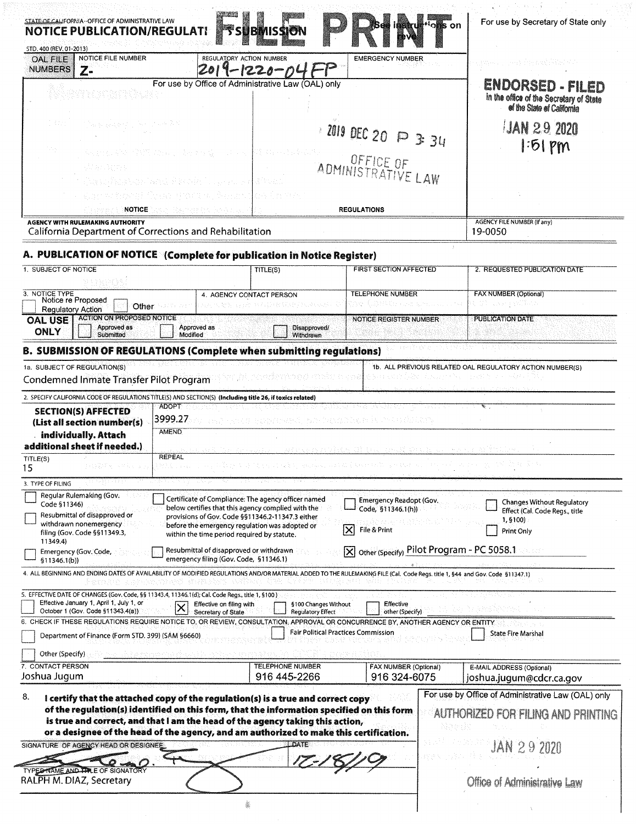|                                            |                                                                                                  | <b>NOTICE PUBLICATION/REGULATI</b>                   | <b>SUBINISSION</b>                                                                                                                                                                                                                                             |                                               | For use by Secretary of State only<br><sup>i</sup> oks on                                 |
|--------------------------------------------|--------------------------------------------------------------------------------------------------|------------------------------------------------------|----------------------------------------------------------------------------------------------------------------------------------------------------------------------------------------------------------------------------------------------------------------|-----------------------------------------------|-------------------------------------------------------------------------------------------|
| STD. 400 (REV. 01-2013)<br><b>OAL FILE</b> | NOTICE FILE NUMBER                                                                               |                                                      | REGULATORY ACTION NUMBER                                                                                                                                                                                                                                       | <b>EMERGENCY NUMBER</b>                       | gason sea indukkenn                                                                       |
| <b>NUMBERS</b>                             | $Z -$                                                                                            |                                                      | -1220-0                                                                                                                                                                                                                                                        |                                               |                                                                                           |
|                                            | 화장에 제자 보도 대체를 가지 못하니만 있                                                                          |                                                      | For use by Office of Administrative Law (OAL) only                                                                                                                                                                                                             |                                               | ENDORSED - FILED<br>in the office of the Secretary of State<br>of the State of California |
|                                            | 化羟氨酸酸酯 经合同部门 计结构的                                                                                |                                                      |                                                                                                                                                                                                                                                                | ZOI9 DEC 20 P 3 34                            | <b>JAN 29 2020</b><br>$ 51$ Pm                                                            |
|                                            | Alba Bight                                                                                       | August the Gaffi was to be easy.                     | Pit spectrum (1995)                                                                                                                                                                                                                                            | ADMINISTRATIVE LAW                            |                                                                                           |
|                                            |                                                                                                  | ijas pilnētas kad fizēts Lugaru a                    |                                                                                                                                                                                                                                                                |                                               |                                                                                           |
|                                            |                                                                                                  | gjer er høyet firskt skøstes, farlevi                | 太極 行為 突然                                                                                                                                                                                                                                                       |                                               |                                                                                           |
|                                            | Charach X<br>NOTICE<br><b>AGENCY WITH RULEMAKING AUTHORITY</b>                                   | 经帐 网络叶叶叶科 医放风术的                                      |                                                                                                                                                                                                                                                                | <b>REGULATIONS</b>                            | <b>AGENCY FILE NUMBER (If any)</b>                                                        |
|                                            | California Department of Corrections and Rehabilitation                                          |                                                      |                                                                                                                                                                                                                                                                |                                               | 19-0050                                                                                   |
|                                            |                                                                                                  |                                                      | A. PUBLICATION OF NOTICE (Complete for publication in Notice Register)                                                                                                                                                                                         |                                               |                                                                                           |
| 1. SUBJECT OF NOTICE                       |                                                                                                  |                                                      | TITLE(S)                                                                                                                                                                                                                                                       | <b>FIRST SECTION AFFECTED</b>                 | 2. REQUESTED PUBLICATION DATE                                                             |
| 3. NOTICE TYPE                             |                                                                                                  |                                                      | 4. AGENCY CONTACT PERSON                                                                                                                                                                                                                                       | TELEPHONE NUMBER                              | <b>FAX NUMBER (Optional)</b>                                                              |
| <b>Regulatory Action</b>                   | Notice re Proposed                                                                               | Other <b>Communist Communist Communist Communist</b> | an arrangement of the state of the second second second second second second second second second second second                                                                                                                                                | At WEBSING                                    | t di usa pelikuw                                                                          |
| <b>OAL USE</b><br><b>ONLY</b>              | <b>ACTION ON PROPOSED NOTICE</b><br>Approved as<br>Submitted                                     | Approved as<br>Modified                              | Disapproved/<br>Withdrawn                                                                                                                                                                                                                                      | <b>NOTICE REGISTER NUMBER</b>                 | <b>PUBLICATION DATE</b>                                                                   |
|                                            |                                                                                                  |                                                      | B. SUBMISSION OF REGULATIONS (Complete when submitting regulations)                                                                                                                                                                                            |                                               |                                                                                           |
|                                            | 1a. SUBJECT OF REGULATION(S)                                                                     |                                                      |                                                                                                                                                                                                                                                                |                                               | 1b. ALL PREVIOUS RELATED OAL REGULATORY ACTION NUMBER(S)                                  |
|                                            | Condemned Inmate Transfer Pilot Program                                                          |                                                      |                                                                                                                                                                                                                                                                |                                               | Audiobat A March (1999-1994) - 1993년 10월 10월 10월                                          |
|                                            |                                                                                                  |                                                      |                                                                                                                                                                                                                                                                |                                               |                                                                                           |
|                                            | <b>SECTION(S) AFFECTED</b>                                                                       | <b>ADOPT</b>                                         | 2. SPECIFY CALIFORNIA CODE OF REGULATIONS TITLE(S) AND SECTION(S) (Including title 26, if toxics related)                                                                                                                                                      |                                               |                                                                                           |
|                                            | (List all section number(s)<br>individually. Attach<br>additional sheet if needed.)              | 3999.27<br><b>AMEND</b>                              |                                                                                                                                                                                                                                                                | romanest notenable but utilisen               | stransni politički stari i prostruktura i se sve stari stati i se                         |
| TITLE(S)<br>15                             |                                                                                                  | <b>REPEAL</b>                                        |                                                                                                                                                                                                                                                                |                                               |                                                                                           |
| 3. TYPE OF FILING                          |                                                                                                  |                                                      |                                                                                                                                                                                                                                                                |                                               |                                                                                           |
| Code §11346)                               | Regular Rulemaking (Gov.<br>Resubmittal of disapproved or                                        |                                                      | Certificate of Compliance: The agency officer named<br>below certifies that this agency complied with the                                                                                                                                                      | Emergency Readopt (Gov.<br>Code, §11346.1(h)) | <b>Changes Without Regulatory</b><br>Effect (Cal. Code Regs., title                       |
|                                            | withdrawn nonemergency<br>filing (Gov. Code §§11349.3,                                           |                                                      | provisions of Gov. Code §§11346.2-11347.3 either<br>before the emergency regulation was adopted or<br>within the time period required by statute.                                                                                                              | File & Print<br> X                            | 1,5100)<br>Print Only                                                                     |
| 11349.4)                                   | Emergency (Gov. Code,                                                                            |                                                      | Resubmittal of disapproved or withdrawn                                                                                                                                                                                                                        |                                               | X other (Specify) Pilot Program - PC 5058.1                                               |
| \$11346.1(b)]                              |                                                                                                  |                                                      | emergency filing (Gov. Code, §11346.1)<br>4. ALL BEGINNING AND ENDING DATES OF AVAILABILITY OF MODIFIED REGULATIONS AND/OR MATERIAL ADDED TO THE RULEMAKING FILE (Cal. Code Regs. title 1, 544 and Gov. Code §11347.1)                                         |                                               |                                                                                           |
|                                            | 5. EFFECTIVE DATE OF CHANGES (Gov. Code, §§ 11343.4, 11346.1(d); Cal. Code Regs., title 1, §100) |                                                      |                                                                                                                                                                                                                                                                |                                               |                                                                                           |
|                                            | Effective January 1, April 1, July 1, or<br>October 1 (Gov. Code §11343.4(a)).                   | Secretary of State                                   | §100 Changes Without<br>Effective on filing with<br><b>Regulatory Effect</b>                                                                                                                                                                                   | Effective<br>other (Specify)                  |                                                                                           |
|                                            | Department of Finance (Form STD. 399) (SAM §6660)                                                |                                                      | 6. CHECK IF THESE REGULATIONS REQUIRE NOTICE TO, OR REVIEW, CONSULTATION, APPROVAL OR CONCURRENCE BY, ANOTHER AGENCY OR ENTITY                                                                                                                                 | <b>Fair Political Practices Commission</b>    | <b>State Fire Marshal</b>                                                                 |
| Other (Specify)                            |                                                                                                  |                                                      |                                                                                                                                                                                                                                                                |                                               |                                                                                           |
| 7. CONTACT PERSON<br>Joshua Jugum          |                                                                                                  |                                                      | <b>TELEPHONE NUMBER</b><br>916 445-2266                                                                                                                                                                                                                        | <b>FAX NUMBER (Optional)</b><br>916 324-6075  | E-MAIL ADDRESS (Optional)<br>joshua.jugum@cdcr.ca.gov                                     |
|                                            |                                                                                                  |                                                      |                                                                                                                                                                                                                                                                |                                               |                                                                                           |
| 8.                                         |                                                                                                  |                                                      | I certify that the attached copy of the regulation(s) is a true and correct copy<br>of the regulation(s) identified on this form, that the information specified on this form<br>is true and correct, and that I am the head of the agency taking this action, |                                               | For use by Office of Administrative Law (OAL) only<br>AUTHORIZED FOR FILING AND PRINTING  |
|                                            |                                                                                                  |                                                      | or a designee of the head of the agency, and am authorized to make this certification.<br>DATE                                                                                                                                                                 |                                               |                                                                                           |
|                                            | SIGNATURE OF AGENCY HEAD OR DESIGNEE                                                             |                                                      |                                                                                                                                                                                                                                                                |                                               | <b>JAN 29 2020</b>                                                                        |
|                                            | TYPED TAME AND THE OF SIGNATORY<br>RALPH M. DIAZ, Secretary                                      |                                                      |                                                                                                                                                                                                                                                                |                                               | Office of Administrative Law                                                              |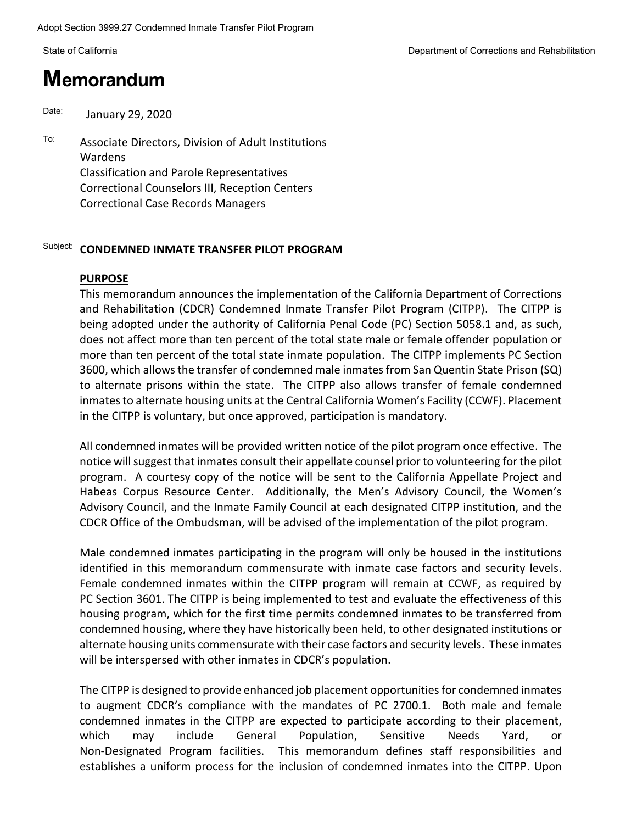# **Memorandum**

Date: January 29, 2020

To: Associate Directors, Division of Adult Institutions Wardens Classification and Parole Representatives Correctional Counselors III, Reception Centers Correctional Case Records Managers

#### Subject: **CONDEMNED INMATE TRANSFER PILOT PROGRAM**

#### **PURPOSE**

This memorandum announces the implementation of the California Department of Corrections and Rehabilitation (CDCR) Condemned Inmate Transfer Pilot Program (CITPP). The CITPP is being adopted under the authority of California Penal Code (PC) Section 5058.1 and, as such, does not affect more than ten percent of the total state male or female offender population or more than ten percent of the total state inmate population. The CITPP implements PC Section 3600, which allows the transfer of condemned male inmatesfrom San Quentin State Prison (SQ) to alternate prisons within the state. The CITPP also allows transfer of female condemned inmates to alternate housing units at the Central California Women's Facility (CCWF). Placement in the CITPP is voluntary, but once approved, participation is mandatory.

All condemned inmates will be provided written notice of the pilot program once effective. The notice will suggest that inmates consult their appellate counsel prior to volunteering for the pilot program. A courtesy copy of the notice will be sent to the California Appellate Project and Habeas Corpus Resource Center. Additionally, the Men's Advisory Council, the Women's Advisory Council, and the Inmate Family Council at each designated CITPP institution, and the CDCR Office of the Ombudsman, will be advised of the implementation of the pilot program.

Male condemned inmates participating in the program will only be housed in the institutions identified in this memorandum commensurate with inmate case factors and security levels. Female condemned inmates within the CITPP program will remain at CCWF, as required by PC Section 3601. The CITPP is being implemented to test and evaluate the effectiveness of this housing program, which for the first time permits condemned inmates to be transferred from condemned housing, where they have historically been held, to other designated institutions or alternate housing units commensurate with their case factors and security levels. These inmates will be interspersed with other inmates in CDCR's population.

The CITPP is designed to provide enhanced job placement opportunities for condemned inmates to augment CDCR's compliance with the mandates of PC 2700.1. Both male and female condemned inmates in the CITPP are expected to participate according to their placement, which may include General Population, Sensitive Needs Yard, or Non-Designated Program facilities. This memorandum defines staff responsibilities and establishes a uniform process for the inclusion of condemned inmates into the CITPP. Upon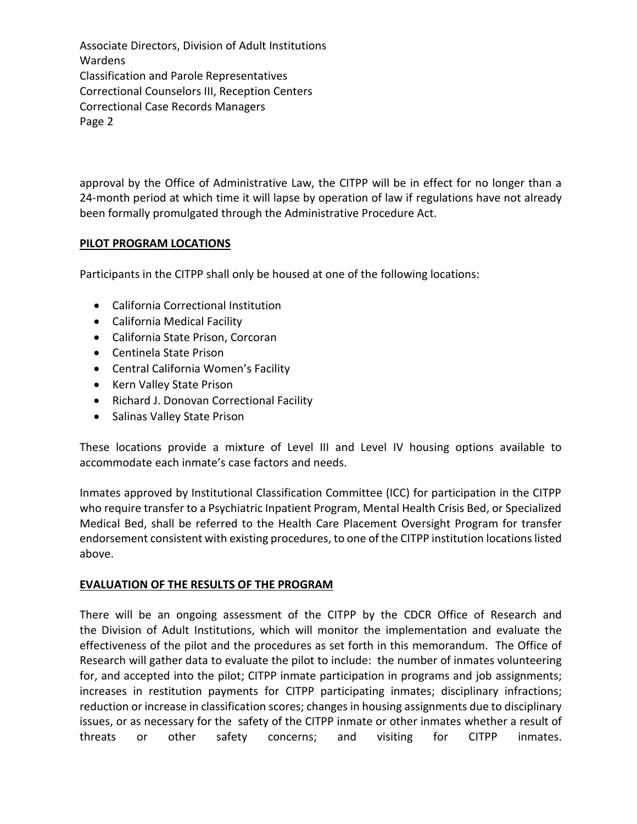approval by the Office of Administrative Law, the CITPP will be in effect for no longer than a 24-month period at which time it will lapse by operation of law if regulations have not already been formally promulgated through the Administrative Procedure Act.

#### **PILOT PROGRAM LOCATIONS**

Participants in the CITPP shall only be housed at one of the following locations:

- California Correctional Institution
- California Medical Facility
- California State Prison, Corcoran
- Centinela State Prison
- Central California Women's Facility
- Kern Valley State Prison
- Richard J. Donovan Correctional Facility
- Salinas Valley State Prison

These locations provide a mixture of Level III and Level IV housing options available to accommodate each inmate's case factors and needs.

Inmates approved by Institutional Classification Committee (ICC) for participation in the CITPP who require transfer to a Psychiatric Inpatient Program, Mental Health Crisis Bed, or Specialized Medical Bed, shall be referred to the Health Care Placement Oversight Program for transfer endorsement consistent with existing procedures, to one of the CITPP institution locations listed above.

#### **EVALUATION OF THE RESULTS OF THE PROGRAM**

There will be an ongoing assessment of the CITPP by the CDCR Office of Research and the Division of Adult Institutions, which will monitor the implementation and evaluate the effectiveness of the pilot and the procedures as set forth in this memorandum. The Office of Research will gather data to evaluate the pilot to include: the number of inmates volunteering for, and accepted into the pilot; CITPP inmate participation in programs and job assignments; increases in restitution payments for CITPP participating inmates; disciplinary infractions; reduction or increase in classification scores; changes in housing assignments due to disciplinary issues, or as necessary for the safety of the CITPP inmate or other inmates whether a result of threats or other safety concerns; and visiting for CITPP inmates.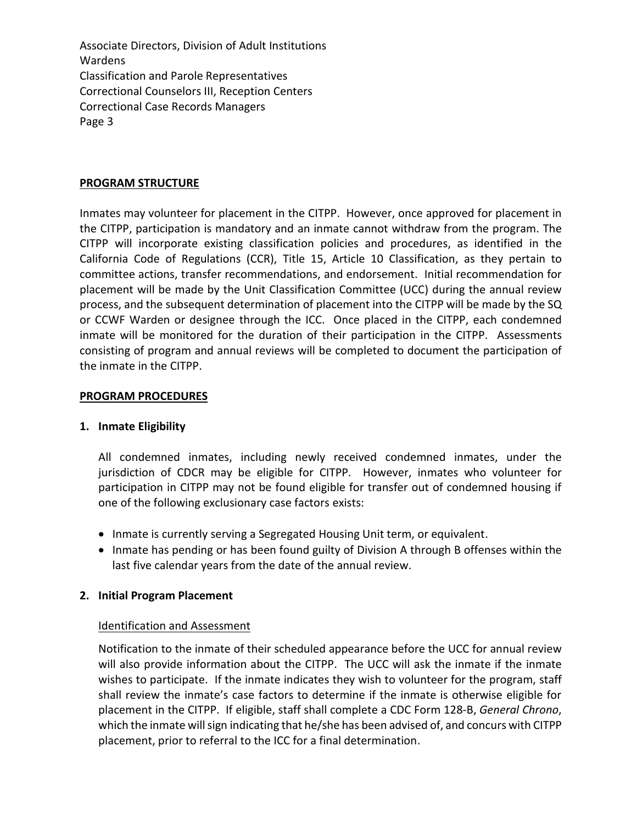#### **PROGRAM STRUCTURE**

Inmates may volunteer for placement in the CITPP. However, once approved for placement in the CITPP, participation is mandatory and an inmate cannot withdraw from the program. The CITPP will incorporate existing classification policies and procedures, as identified in the California Code of Regulations (CCR), Title 15, Article 10 Classification, as they pertain to committee actions, transfer recommendations, and endorsement. Initial recommendation for placement will be made by the Unit Classification Committee (UCC) during the annual review process, and the subsequent determination of placement into the CITPP will be made by the SQ or CCWF Warden or designee through the ICC. Once placed in the CITPP, each condemned inmate will be monitored for the duration of their participation in the CITPP. Assessments consisting of program and annual reviews will be completed to document the participation of the inmate in the CITPP.

#### **PROGRAM PROCEDURES**

#### **1. Inmate Eligibility**

All condemned inmates, including newly received condemned inmates, under the jurisdiction of CDCR may be eligible for CITPP. However, inmates who volunteer for participation in CITPP may not be found eligible for transfer out of condemned housing if one of the following exclusionary case factors exists:

- Inmate is currently serving a Segregated Housing Unit term, or equivalent.
- Inmate has pending or has been found guilty of Division A through B offenses within the last five calendar years from the date of the annual review.

#### **2. Initial Program Placement**

#### Identification and Assessment

Notification to the inmate of their scheduled appearance before the UCC for annual review will also provide information about the CITPP. The UCC will ask the inmate if the inmate wishes to participate. If the inmate indicates they wish to volunteer for the program, staff shall review the inmate's case factors to determine if the inmate is otherwise eligible for placement in the CITPP. If eligible, staff shall complete a CDC Form 128-B, *General Chrono*, which the inmate will sign indicating that he/she has been advised of, and concurs with CITPP placement, prior to referral to the ICC for a final determination.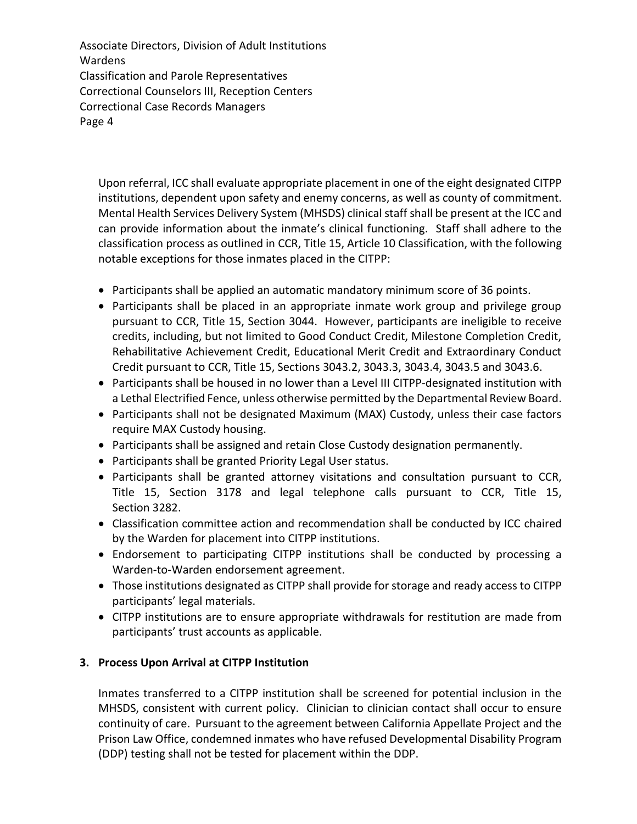Upon referral, ICC shall evaluate appropriate placement in one of the eight designated CITPP institutions, dependent upon safety and enemy concerns, as well as county of commitment. Mental Health Services Delivery System (MHSDS) clinical staff shall be present at the ICC and can provide information about the inmate's clinical functioning. Staff shall adhere to the classification process as outlined in CCR, Title 15, Article 10 Classification, with the following notable exceptions for those inmates placed in the CITPP:

- Participants shall be applied an automatic mandatory minimum score of 36 points.
- Participants shall be placed in an appropriate inmate work group and privilege group pursuant to CCR, Title 15, Section 3044. However, participants are ineligible to receive credits, including, but not limited to Good Conduct Credit, Milestone Completion Credit, Rehabilitative Achievement Credit, Educational Merit Credit and Extraordinary Conduct Credit pursuant to CCR, Title 15, Sections 3043.2, 3043.3, 3043.4, 3043.5 and 3043.6.
- Participants shall be housed in no lower than a Level III CITPP-designated institution with a Lethal Electrified Fence, unless otherwise permitted by the Departmental Review Board.
- Participants shall not be designated Maximum (MAX) Custody, unless their case factors require MAX Custody housing.
- Participants shall be assigned and retain Close Custody designation permanently.
- Participants shall be granted Priority Legal User status.
- Participants shall be granted attorney visitations and consultation pursuant to CCR, Title 15, Section 3178 and legal telephone calls pursuant to CCR, Title 15, Section 3282.
- Classification committee action and recommendation shall be conducted by ICC chaired by the Warden for placement into CITPP institutions.
- Endorsement to participating CITPP institutions shall be conducted by processing a Warden-to-Warden endorsement agreement.
- Those institutions designated as CITPP shall provide for storage and ready access to CITPP participants' legal materials.
- CITPP institutions are to ensure appropriate withdrawals for restitution are made from participants' trust accounts as applicable.

#### **3. Process Upon Arrival at CITPP Institution**

Inmates transferred to a CITPP institution shall be screened for potential inclusion in the MHSDS, consistent with current policy. Clinician to clinician contact shall occur to ensure continuity of care. Pursuant to the agreement between California Appellate Project and the Prison Law Office, condemned inmates who have refused Developmental Disability Program (DDP) testing shall not be tested for placement within the DDP.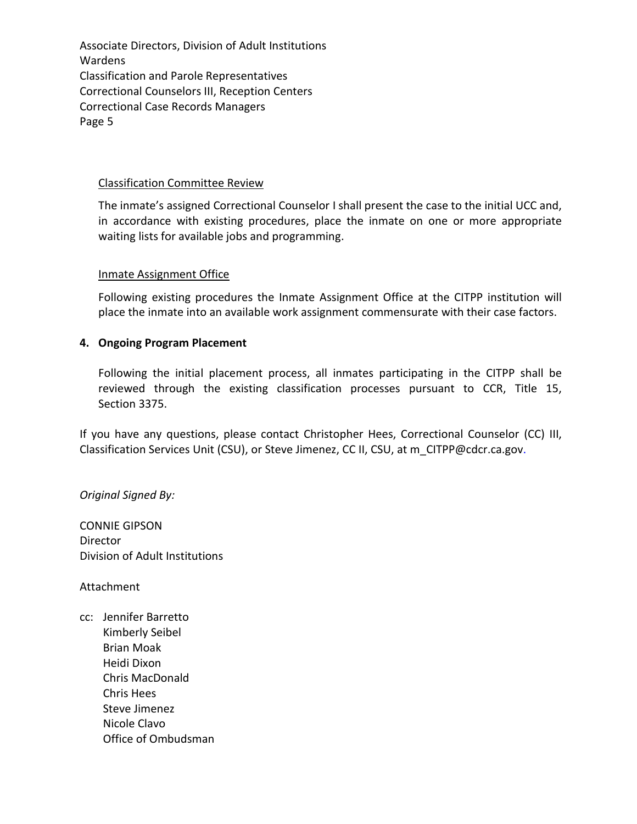#### Classification Committee Review

The inmate's assigned Correctional Counselor I shall present the case to the initial UCC and, in accordance with existing procedures, place the inmate on one or more appropriate waiting lists for available jobs and programming.

#### Inmate Assignment Office

Following existing procedures the Inmate Assignment Office at the CITPP institution will place the inmate into an available work assignment commensurate with their case factors.

### **4. Ongoing Program Placement**

Following the initial placement process, all inmates participating in the CITPP shall be reviewed through the existing classification processes pursuant to CCR, Title 15, Section 3375.

If you have any questions, please contact Christopher Hees, Correctional Counselor (CC) III, Classification Services Unit (CSU), or Steve Jimenez, CC II, CSU, at m\_CITPP@cdcr.ca.gov.

*Original Signed By:*

CONNIE GIPSON Director Division of Adult Institutions

Attachment

cc: Jennifer Barretto Kimberly Seibel Brian Moak Heidi Dixon Chris MacDonald Chris Hees Steve Jimenez Nicole Clavo Office of Ombudsman